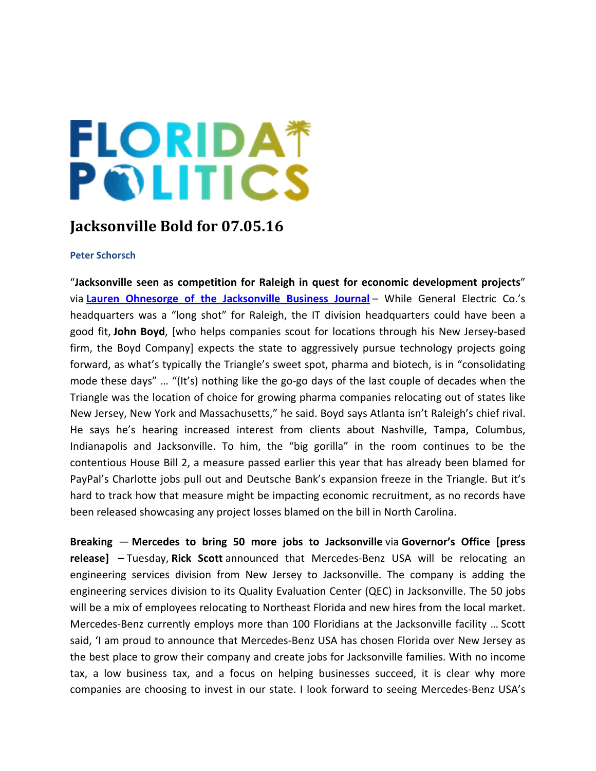## **FLORIDA\* POLITICS**

## **Jacksonville Bold for 07.05.16**

## **Peter Schorsch**

"**Jacksonville seen as competition for Raleigh in quest for economic development projects**" via **Lauren Ohnesorge of the Jacksonville Business Journal** – While General Electric Co.'s headquarters was a "long shot" for Raleigh, the IT division headquarters could have been a good fit, **John Boyd**, [who helps companies scout for locations through his New Jersey‐based firm, the Boyd Company] expects the state to aggressively pursue technology projects going forward, as what's typically the Triangle's sweet spot, pharma and biotech, is in "consolidating mode these days" ... "(It's) nothing like the go-go days of the last couple of decades when the Triangle was the location of choice for growing pharma companies relocating out of states like New Jersey, New York and Massachusetts," he said. Boyd says Atlanta isn't Raleigh's chief rival. He says he's hearing increased interest from clients about Nashville, Tampa, Columbus, Indianapolis and Jacksonville. To him, the "big gorilla" in the room continues to be the contentious House Bill 2, a measure passed earlier this year that has already been blamed for PayPal's Charlotte jobs pull out and Deutsche Bank's expansion freeze in the Triangle. But it's hard to track how that measure might be impacting economic recruitment, as no records have been released showcasing any project losses blamed on the bill in North Carolina.

**Breaking** — **Mercedes to bring 50 more jobs to Jacksonville** via **Governor's Office [press release] –** Tuesday, **Rick Scott** announced that Mercedes‐Benz USA will be relocating an engineering services division from New Jersey to Jacksonville. The company is adding the engineering services division to its Quality Evaluation Center (QEC) in Jacksonville. The 50 jobs will be a mix of employees relocating to Northeast Florida and new hires from the local market. Mercedes‐Benz currently employs more than 100 Floridians at the Jacksonville facility … Scott said, 'I am proud to announce that Mercedes‐Benz USA has chosen Florida over New Jersey as the best place to grow their company and create jobs for Jacksonville families. With no income tax, a low business tax, and a focus on helping businesses succeed, it is clear why more companies are choosing to invest in our state. I look forward to seeing Mercedes‐Benz USA's